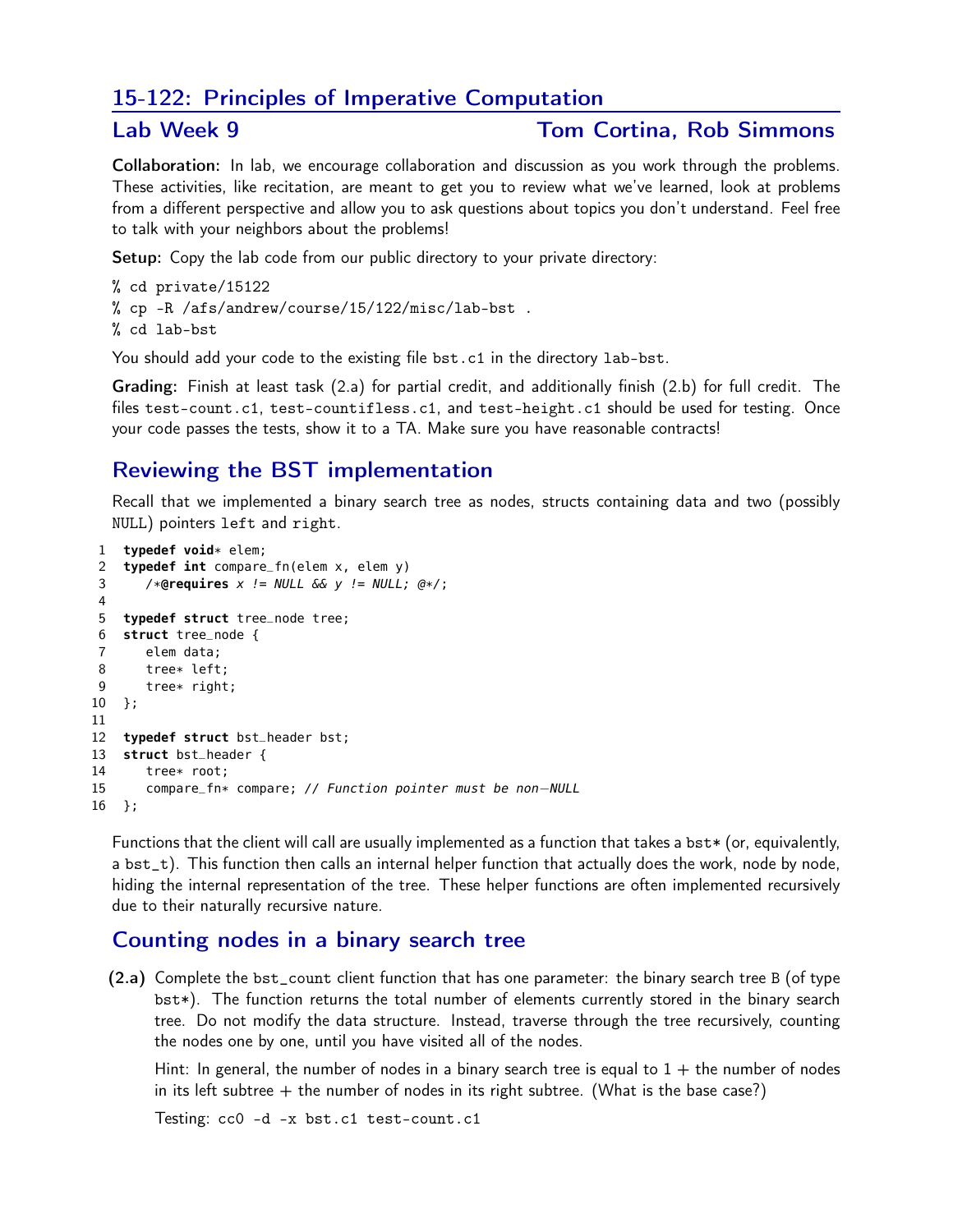## 15-122: Principles of Imperative Computation

#### Lab Week 9 Tom Cortina, Rob Simmons

Collaboration: In lab, we encourage collaboration and discussion as you work through the problems. These activities, like recitation, are meant to get you to review what we've learned, look at problems from a different perspective and allow you to ask questions about topics you don't understand. Feel free to talk with your neighbors about the problems!

Setup: Copy the lab code from our public directory to your private directory:

```
% cd private/15122
% cp -R /afs/andrew/course/15/122/misc/lab-bst .
% cd lab-bst
```
You should add your code to the existing file bst.c1 in the directory lab-bst.

Grading: Finish at least task (2.a) for partial credit, and additionally finish (2.b) for full credit. The files test-count.c1, test-countifless.c1, and test-height.c1 should be used for testing. Once your code passes the tests, show it to a TA. Make sure you have reasonable contracts!

# Reviewing the BST implementation

Recall that we implemented a binary search tree as nodes, structs containing data and two (possibly NULL) pointers left and right.

```
1 typedef void* elem;
2 typedef int compare_fn(elem x, elem y)
3 /*@requires x != NULL && y != NULL; @*/;
4
5 typedef struct tree_node tree;
6 struct tree_node {
7 elem data;
8 tree* left;<br>9 tree* right
       tree* right;
10 };
11
12 typedef struct bst_header bst;
13 struct bst_header {
14 tree* root;
15 compare_fn* compare; // Function pointer must be non−NULL
16 };
```
Functions that the client will call are usually implemented as a function that takes a bst\* (or, equivalently, a bst<sub>\_t</sub>). This function then calls an internal helper function that actually does the work, node by node, hiding the internal representation of the tree. These helper functions are often implemented recursively due to their naturally recursive nature.

# Counting nodes in a binary search tree

(2.a) Complete the bst\_count client function that has one parameter: the binary search tree B (of type bst\*). The function returns the total number of elements currently stored in the binary search tree. Do not modify the data structure. Instead, traverse through the tree recursively, counting the nodes one by one, until you have visited all of the nodes.

Hint: In general, the number of nodes in a binary search tree is equal to  $1 +$  the number of nodes in its left subtree  $+$  the number of nodes in its right subtree. (What is the base case?)

Testing: cc0 -d -x bst.c1 test-count.c1